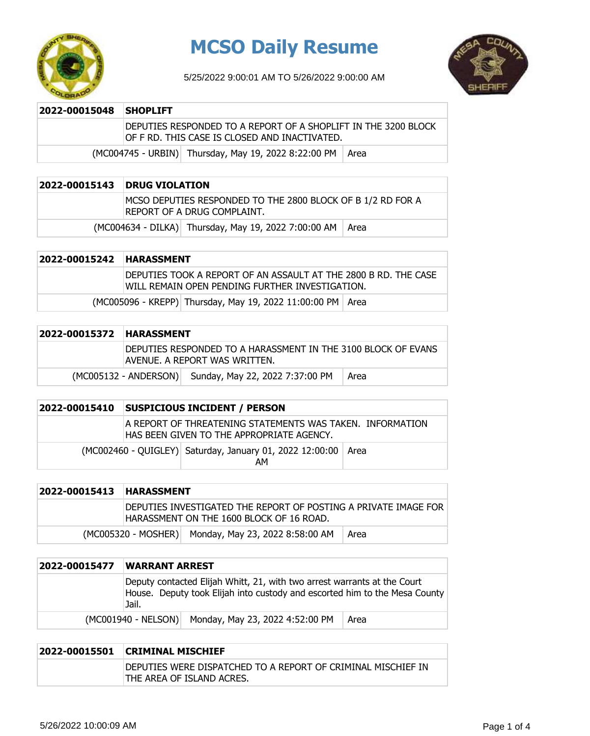

# **MCSO Daily Resume**

5/25/2022 9:00:01 AM TO 5/26/2022 9:00:00 AM



#### **2022-00015048 SHOPLIFT**

DEPUTIES RESPONDED TO A REPORT OF A SHOPLIFT IN THE 3200 BLOCK OF F RD. THIS CASE IS CLOSED AND INACTIVATED.

 $(MCOO4745 - URBIN)$  Thursday, May 19, 2022 8:22:00 PM  $\vert$  Area

#### **2022-00015143 DRUG VIOLATION**

MCSO DEPUTIES RESPONDED TO THE 2800 BLOCK OF B 1/2 RD FOR A REPORT OF A DRUG COMPLAINT.

 $(MCO04634 - DILKA)$  Thursday, May 19, 2022 7:00:00 AM Area

| 2022-00015242 HARASSMENT |                                                                                                                    |
|--------------------------|--------------------------------------------------------------------------------------------------------------------|
|                          | DEPUTIES TOOK A REPORT OF AN ASSAULT AT THE 2800 B RD. THE CASE<br>WILL REMAIN OPEN PENDING FURTHER INVESTIGATION. |
|                          | (MC005096 - KREPP) Thursday, May 19, 2022 11:00:00 PM   Area                                                       |

| 2022-00015372 HARASSMENT |                                                                                                 |
|--------------------------|-------------------------------------------------------------------------------------------------|
|                          | DEPUTIES RESPONDED TO A HARASSMENT IN THE 3100 BLOCK OF EVANS<br>IAVENUE. A REPORT WAS WRITTEN. |
|                          | (MC005132 - ANDERSON) Sunday, May 22, 2022 7:37:00 PM<br>  Area                                 |

| 2022-00015410 | <b>SUSPICIOUS INCIDENT / PERSON</b>                                                                      |  |
|---------------|----------------------------------------------------------------------------------------------------------|--|
|               | LA REPORT OF THREATENING STATEMENTS WAS TAKEN. INFORMATION<br>IHAS BEEN GIVEN TO THE APPROPRIATE AGENCY. |  |
|               | (MC002460 - QUIGLEY) Saturday, January 01, 2022 12:00:00 Area<br>AM                                      |  |

| 2022-00015413 | <b>HARASSMENT</b>                                                                                            |
|---------------|--------------------------------------------------------------------------------------------------------------|
|               | IDEPUTIES INVESTIGATED THE REPORT OF POSTING A PRIVATE IMAGE FOR<br>HARASSMENT ON THE 1600 BLOCK OF 16 ROAD. |
|               | (MC005320 - MOSHER) Monday, May 23, 2022 8:58:00 AM<br>Area                                                  |

| 2022-00015477 | <b>WARRANT ARREST</b>                                                                                                                                           |      |
|---------------|-----------------------------------------------------------------------------------------------------------------------------------------------------------------|------|
|               | Deputy contacted Elijah Whitt, 21, with two arrest warrants at the Court<br>House. Deputy took Elijah into custody and escorted him to the Mesa County<br>Jail. |      |
|               | (MC001940 - NELSON) Monday, May 23, 2022 4:52:00 PM                                                                                                             | Area |

### **2022-00015501 CRIMINAL MISCHIEF** DEPUTIES WERE DISPATCHED TO A REPORT OF CRIMINAL MISCHIEF IN THE AREA OF ISLAND ACRES.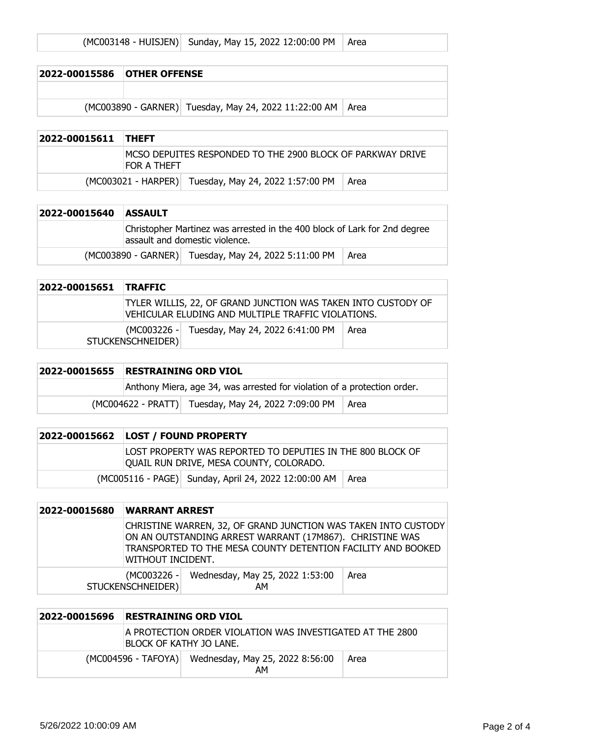|  | (MC003148 - HUISJEN) Sunday, May 15, 2022 12:00:00 PM   Area |  |  |
|--|--------------------------------------------------------------|--|--|
|--|--------------------------------------------------------------|--|--|

| 2022-00015586 OTHER OFFENSE |                                                              |  |
|-----------------------------|--------------------------------------------------------------|--|
|                             |                                                              |  |
|                             | (MC003890 - GARNER) Tuesday, May 24, 2022 11:22:00 AM   Area |  |

| 2022-00015611 THEFT |                    |                                                            |      |
|---------------------|--------------------|------------------------------------------------------------|------|
|                     | <b>FOR A THEFT</b> | MCSO DEPUITES RESPONDED TO THE 2900 BLOCK OF PARKWAY DRIVE |      |
|                     |                    | (MC003021 - HARPER) Tuesday, May 24, 2022 1:57:00 PM       | Area |

| 2022-00015640 | <b>ASSAULT</b>                                                                                              |
|---------------|-------------------------------------------------------------------------------------------------------------|
|               | Christopher Martinez was arrested in the 400 block of Lark for 2nd degree<br>assault and domestic violence. |
|               | (MC003890 - GARNER) Tuesday, May 24, 2022 5:11:00 PM<br>Area                                                |

| 2022-00015651 TRAFFIC |                                                                                                                     |        |
|-----------------------|---------------------------------------------------------------------------------------------------------------------|--------|
|                       | TYLER WILLIS, 22, OF GRAND JUNCTION WAS TAKEN INTO CUSTODY OF<br>VEHICULAR ELUDING AND MULTIPLE TRAFFIC VIOLATIONS. |        |
|                       | (MC003226 - Tuesday, May 24, 2022 6:41:00 PM<br>STUCKENSCHNEIDER)                                                   | l Area |

| 2022-00015655 | <b>RESTRAINING ORD VIOL</b>                                              |  |
|---------------|--------------------------------------------------------------------------|--|
|               | Anthony Miera, age 34, was arrested for violation of a protection order. |  |
|               | (MC004622 - PRATT) Tuesday, May 24, 2022 7:09:00 PM   Area               |  |

| 2022-00015662 LOST / FOUND PROPERTY                                                                   |
|-------------------------------------------------------------------------------------------------------|
| LOST PROPERTY WAS REPORTED TO DEPUTIES IN THE 800 BLOCK OF<br>QUAIL RUN DRIVE, MESA COUNTY, COLORADO. |
| (MC005116 - PAGE) Sunday, April 24, 2022 12:00:00 AM   Area                                           |

| 2022-00015680 | <b>WARRANT ARREST</b> |                                                                                                                                                                                            |      |
|---------------|-----------------------|--------------------------------------------------------------------------------------------------------------------------------------------------------------------------------------------|------|
|               | WITHOUT INCIDENT.     | CHRISTINE WARREN, 32, OF GRAND JUNCTION WAS TAKEN INTO CUSTODY<br>ON AN OUTSTANDING ARREST WARRANT (17M867). CHRISTINE WAS<br>TRANSPORTED TO THE MESA COUNTY DETENTION FACILITY AND BOOKED |      |
|               | STUCKENSCHNEIDER)     | (MC003226 - Wednesday, May 25, 2022 1:53:00<br>AΜ                                                                                                                                          | Area |

| 2022-00015696 | <b>RESTRAINING ORD VIOL</b> |                                                           |      |
|---------------|-----------------------------|-----------------------------------------------------------|------|
|               | IBLOCK OF KATHY JO LANE.    | A PROTECTION ORDER VIOLATION WAS INVESTIGATED AT THE 2800 |      |
|               |                             | (MC004596 - TAFOYA) Wednesday, May 25, 2022 8:56:00<br>AM | Area |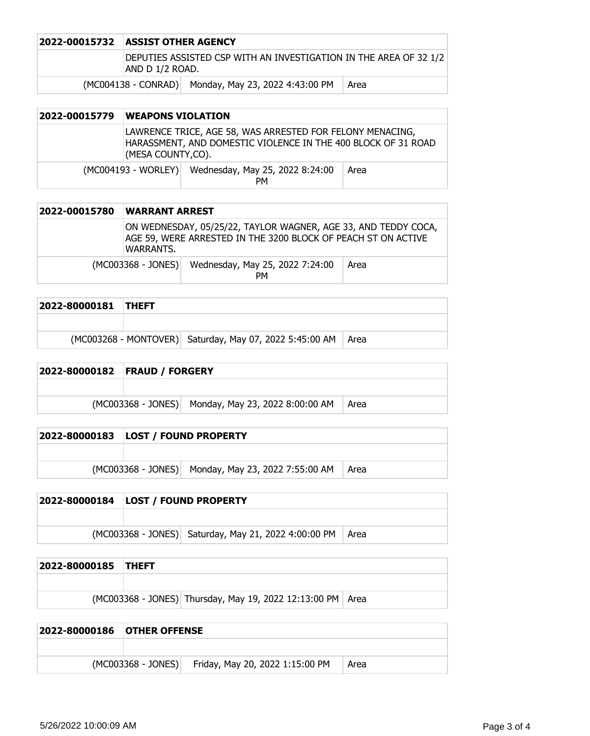| <b>2022-00015732 ASSIST OTHER AGENCY</b>                                             |                                                     |      |
|--------------------------------------------------------------------------------------|-----------------------------------------------------|------|
| DEPUTIES ASSISTED CSP WITH AN INVESTIGATION IN THE AREA OF 32 1/2<br>AND D 1/2 ROAD. |                                                     |      |
|                                                                                      | (MC004138 - CONRAD) Monday, May 23, 2022 4:43:00 PM | Area |

| 2022-00015779 | <b>WEAPONS VIOLATION</b> |                                                                                                                            |      |
|---------------|--------------------------|----------------------------------------------------------------------------------------------------------------------------|------|
|               | (MESA COUNTY,CO).        | LAWRENCE TRICE, AGE 58, WAS ARRESTED FOR FELONY MENACING,<br>HARASSMENT, AND DOMESTIC VIOLENCE IN THE 400 BLOCK OF 31 ROAD |      |
|               |                          | (MC004193 - WORLEY) Wednesday, May 25, 2022 8:24:00<br><b>PM</b>                                                           | Area |

| 2022-00015780 | <b>WARRANT ARREST</b> |                                                                                                                                 |      |
|---------------|-----------------------|---------------------------------------------------------------------------------------------------------------------------------|------|
|               | WARRANTS.             | ON WEDNESDAY, 05/25/22, TAYLOR WAGNER, AGE 33, AND TEDDY COCA,<br>AGE 59, WERE ARRESTED IN THE 3200 BLOCK OF PEACH ST ON ACTIVE |      |
|               |                       | (MC003368 - JONES) Wednesday, May 25, 2022 7:24:00<br><b>PM</b>                                                                 | Area |

| 2022-80000181 THEFT |                                                                |  |
|---------------------|----------------------------------------------------------------|--|
|                     |                                                                |  |
|                     | (MC003268 - MONTOVER) Saturday, May 07, 2022 5:45:00 AM   Area |  |

## **2022-80000182 FRAUD / FORGERY**

| (MC003368 - JONES) Monday, May 23, 2022 8:00:00 AM   Area |  |
|-----------------------------------------------------------|--|

# **2022-80000183 LOST / FOUND PROPERTY**

(MC003368 - JONES) Monday, May 23, 2022 7:55:00 AM Area

## **2022-80000184 LOST / FOUND PROPERTY**

 $(MCO03368 - JONES)$  Saturday, May 21, 2022 4:00:00 PM  $Area$ 

| 2022-80000185 THEFT |                                                              |  |
|---------------------|--------------------------------------------------------------|--|
|                     |                                                              |  |
|                     | (MC003368 - JONES) Thursday, May 19, 2022 12:13:00 PM   Area |  |

| <b>2022-80000186 OTHER OFFENSE</b> |                      |                                 |      |
|------------------------------------|----------------------|---------------------------------|------|
|                                    |                      |                                 |      |
|                                    | $(MCO03368 - JONES)$ | Friday, May 20, 2022 1:15:00 PM | Area |